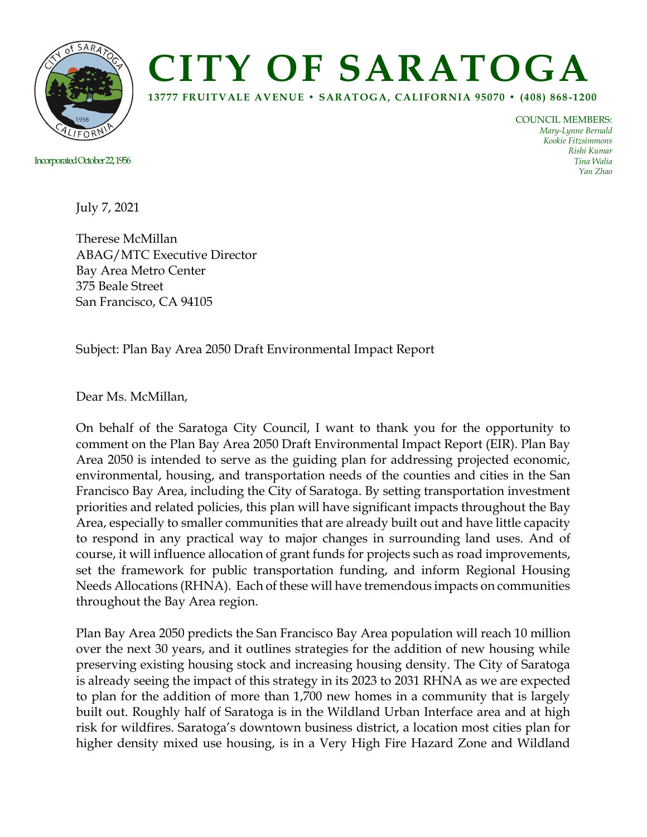

## **CITY OF SARATOGA**

**13777 FRUITVALE AVENUE • SARATOGA, CALIFORNIA 95070 • (408) 868 -1200**

Incorporated October22, 1956

COUNCIL MEMBERS: *Mary-Lynne Bernald Kookie Fitzsimmons Rishi Kumar Tina Walia Yan Zhao*

July 7, 2021

Therese McMillan ABAG/MTC Executive Director Bay Area Metro Center 375 Beale Street San Francisco, CA 94105

Subject: Plan Bay Area 2050 Draft Environmental Impact Report

Dear Ms. McMillan,

On behalf of the Saratoga City Council, I want to thank you for the opportunity to comment on the Plan Bay Area 2050 Draft Environmental Impact Report (EIR). Plan Bay Area 2050 is intended to serve as the guiding plan for addressing projected economic, environmental, housing, and transportation needs of the counties and cities in the San Francisco Bay Area, including the City of Saratoga. By setting transportation investment priorities and related policies, this plan will have significant impacts throughout the Bay Area, especially to smaller communities that are already built out and have little capacity to respond in any practical way to major changes in surrounding land uses. And of course, it will influence allocation of grant funds for projects such as road improvements, set the framework for public transportation funding, and inform Regional Housing Needs Allocations (RHNA). Each of these will have tremendous impacts on communities throughout the Bay Area region.

Plan Bay Area 2050 predicts the San Francisco Bay Area population will reach 10 million over the next 30 years, and it outlines strategies for the addition of new housing while preserving existing housing stock and increasing housing density. The City of Saratoga is already seeing the impact of this strategy in its 2023 to 2031 RHNA as we are expected to plan for the addition of more than 1,700 new homes in a community that is largely built out. Roughly half of Saratoga is in the Wildland Urban Interface area and at high risk for wildfires. Saratoga's downtown business district, a location most cities plan for higher density mixed use housing, is in a Very High Fire Hazard Zone and Wildland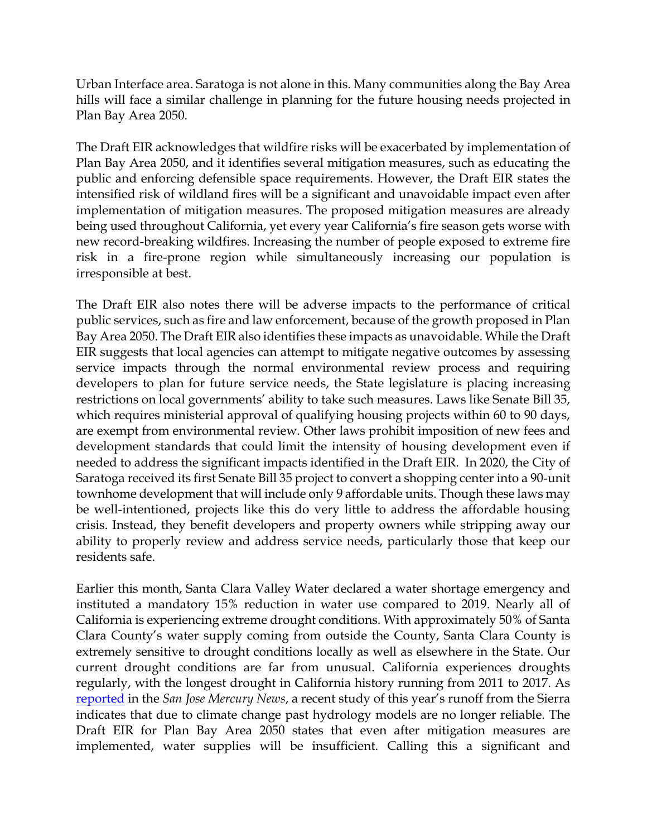Urban Interface area. Saratoga is not alone in this. Many communities along the Bay Area hills will face a similar challenge in planning for the future housing needs projected in Plan Bay Area 2050.

The Draft EIR acknowledges that wildfire risks will be exacerbated by implementation of Plan Bay Area 2050, and it identifies several mitigation measures, such as educating the public and enforcing defensible space requirements. However, the Draft EIR states the intensified risk of wildland fires will be a significant and unavoidable impact even after implementation of mitigation measures. The proposed mitigation measures are already being used throughout California, yet every year California's fire season gets worse with new record-breaking wildfires. Increasing the number of people exposed to extreme fire risk in a fire-prone region while simultaneously increasing our population is irresponsible at best.

The Draft EIR also notes there will be adverse impacts to the performance of critical public services, such as fire and law enforcement, because of the growth proposed in Plan Bay Area 2050. The Draft EIR also identifies these impacts as unavoidable. While the Draft EIR suggests that local agencies can attempt to mitigate negative outcomes by assessing service impacts through the normal environmental review process and requiring developers to plan for future service needs, the State legislature is placing increasing restrictions on local governments' ability to take such measures. Laws like Senate Bill 35, which requires ministerial approval of qualifying housing projects within 60 to 90 days, are exempt from environmental review. Other laws prohibit imposition of new fees and development standards that could limit the intensity of housing development even if needed to address the significant impacts identified in the Draft EIR. In 2020, the City of Saratoga received its first Senate Bill 35 project to convert a shopping center into a 90-unit townhome development that will include only 9 affordable units. Though these laws may be well-intentioned, projects like this do very little to address the affordable housing crisis. Instead, they benefit developers and property owners while stripping away our ability to properly review and address service needs, particularly those that keep our residents safe.

Earlier this month, Santa Clara Valley Water declared a water shortage emergency and instituted a mandatory 15% reduction in water use compared to 2019. Nearly all of California is experiencing extreme drought conditions. With approximately 50% of Santa Clara County's water supply coming from outside the County, Santa Clara County is extremely sensitive to drought conditions locally as well as elsewhere in the State. Our current drought conditions are far from unusual. California experiences droughts regularly, with the longest drought in California history running from 2011 to 2017. As [reported](https://www.mercurynews.com/2021/06/23/where-did-sierra-snow-go-this-spring-not-into-california-rivers-and-water-supplies/) in the *San Jose Mercury News*, a recent study of this year's runoff from the Sierra indicates that due to climate change past hydrology models are no longer reliable. The Draft EIR for Plan Bay Area 2050 states that even after mitigation measures are implemented, water supplies will be insufficient. Calling this a significant and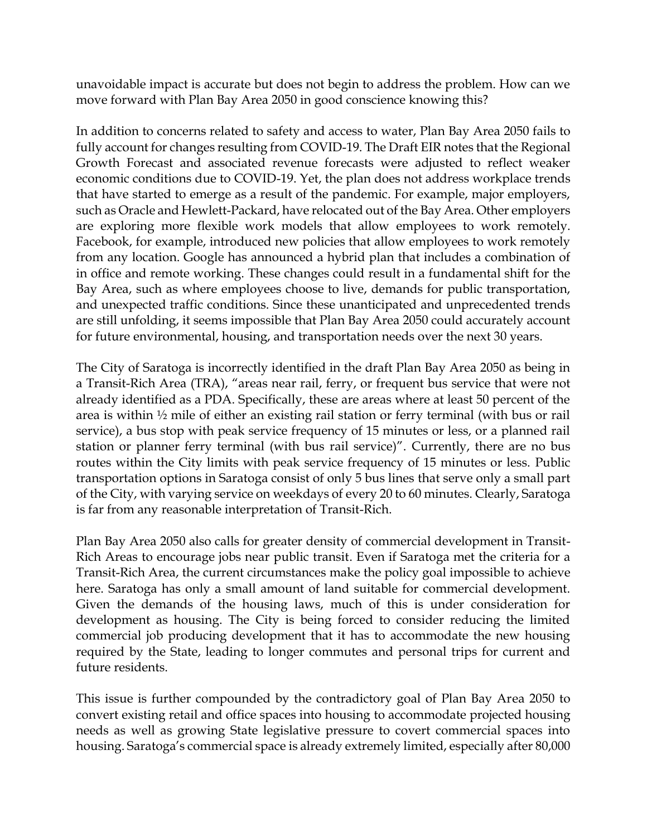unavoidable impact is accurate but does not begin to address the problem. How can we move forward with Plan Bay Area 2050 in good conscience knowing this?

In addition to concerns related to safety and access to water, Plan Bay Area 2050 fails to fully account for changes resulting from COVID-19. The Draft EIR notes that the Regional Growth Forecast and associated revenue forecasts were adjusted to reflect weaker economic conditions due to COVID-19. Yet, the plan does not address workplace trends that have started to emerge as a result of the pandemic. For example, major employers, such as Oracle and Hewlett-Packard, have relocated out of the Bay Area. Other employers are exploring more flexible work models that allow employees to work remotely. Facebook, for example, introduced new policies that allow employees to work remotely from any location. Google has announced a hybrid plan that includes a combination of in office and remote working. These changes could result in a fundamental shift for the Bay Area, such as where employees choose to live, demands for public transportation, and unexpected traffic conditions. Since these unanticipated and unprecedented trends are still unfolding, it seems impossible that Plan Bay Area 2050 could accurately account for future environmental, housing, and transportation needs over the next 30 years.

The City of Saratoga is incorrectly identified in the draft Plan Bay Area 2050 as being in a Transit-Rich Area (TRA), "areas near rail, ferry, or frequent bus service that were not already identified as a PDA. Specifically, these are areas where at least 50 percent of the area is within ½ mile of either an existing rail station or ferry terminal (with bus or rail service), a bus stop with peak service frequency of 15 minutes or less, or a planned rail station or planner ferry terminal (with bus rail service)". Currently, there are no bus routes within the City limits with peak service frequency of 15 minutes or less. Public transportation options in Saratoga consist of only 5 bus lines that serve only a small part of the City, with varying service on weekdays of every 20 to 60 minutes. Clearly, Saratoga is far from any reasonable interpretation of Transit-Rich.

Plan Bay Area 2050 also calls for greater density of commercial development in Transit-Rich Areas to encourage jobs near public transit. Even if Saratoga met the criteria for a Transit-Rich Area, the current circumstances make the policy goal impossible to achieve here. Saratoga has only a small amount of land suitable for commercial development. Given the demands of the housing laws, much of this is under consideration for development as housing. The City is being forced to consider reducing the limited commercial job producing development that it has to accommodate the new housing required by the State, leading to longer commutes and personal trips for current and future residents.

This issue is further compounded by the contradictory goal of Plan Bay Area 2050 to convert existing retail and office spaces into housing to accommodate projected housing needs as well as growing State legislative pressure to covert commercial spaces into housing. Saratoga's commercial space is already extremely limited, especially after 80,000